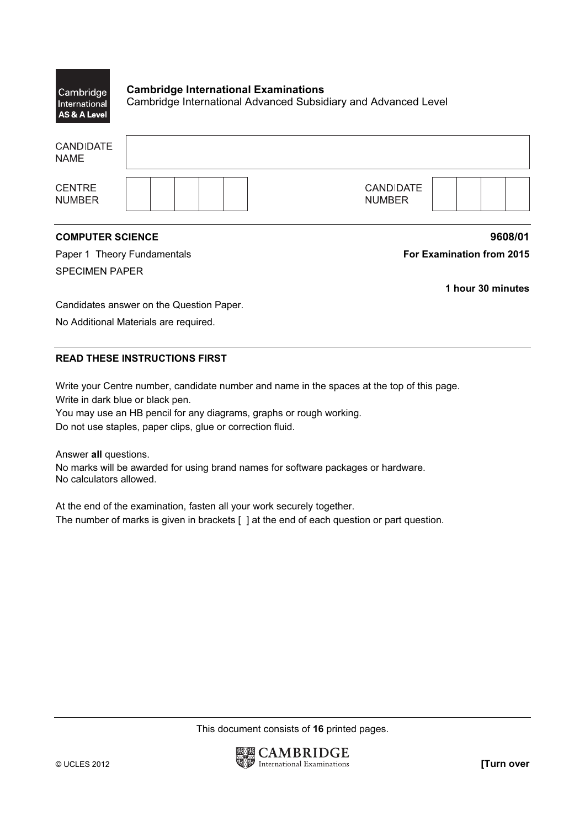| Cambridge<br>International<br>AS & A Level | <b>Cambridge International Examinations</b><br>Cambridge International Advanced Subsidiary and Advanced Level |
|--------------------------------------------|---------------------------------------------------------------------------------------------------------------|
| <b>CANDIDATE</b><br><b>NAME</b>            |                                                                                                               |
| <b>CENTRE</b><br><b>NUMBER</b>             | <b>CANDIDATE</b><br><b>NUMBER</b>                                                                             |

## COMPUTER SCIENCE **9608/01**

Paper 1 Theory Fundamentals **For Examination from 2015** SPECIMEN PAPER

1 hour 30 minutes

Candidates answer on the Question Paper.

No Additional Materials are required.

# READ THESE INSTRUCTIONS FIRST

Write your Centre number, candidate number and name in the spaces at the top of this page. Write in dark blue or black pen.

You may use an HB pencil for any diagrams, graphs or rough working. Do not use staples, paper clips, glue or correction fluid.

Answer all questions.

No marks will be awarded for using brand names for software packages or hardware. No calculators allowed.

At the end of the examination, fasten all your work securely together. The number of marks is given in brackets [ ] at the end of each question or part question.

This document consists of 16 printed pages.

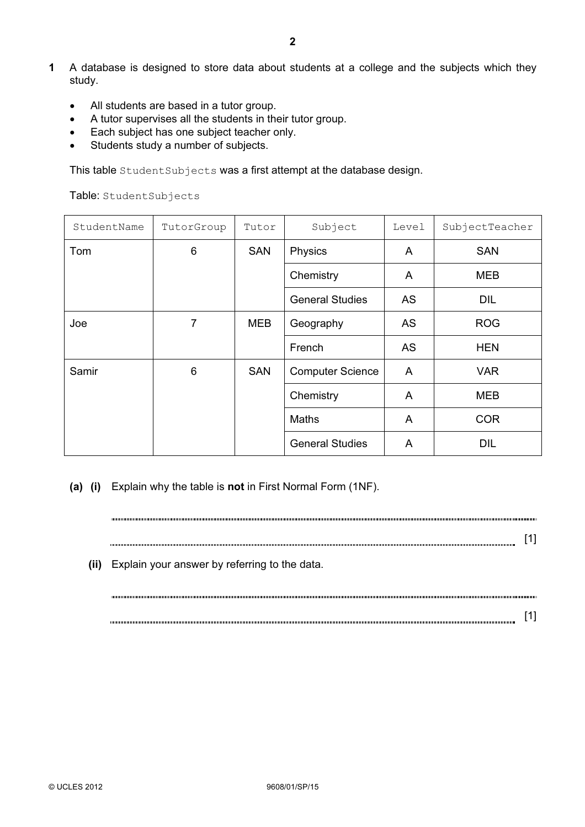- All students are based in a tutor group.
- A tutor supervises all the students in their tutor group.
- Each subject has one subject teacher only.
- Students study a number of subjects.

This table StudentSubjects was a first attempt at the database design.

Table: StudentSubjects

| StudentName | TutorGroup | Tutor      | Subject                 | Level     | SubjectTeacher |
|-------------|------------|------------|-------------------------|-----------|----------------|
| Tom         | 6          | <b>SAN</b> | Physics                 | A         | <b>SAN</b>     |
|             |            |            | Chemistry               | A         | MEB            |
|             |            |            | <b>General Studies</b>  | AS        | <b>DIL</b>     |
| Joe         | 7          | MEB        | Geography               | <b>AS</b> | <b>ROG</b>     |
|             |            |            | French                  | <b>AS</b> | <b>HEN</b>     |
| Samir       | 6          | <b>SAN</b> | <b>Computer Science</b> | A         | <b>VAR</b>     |
|             |            |            | Chemistry               | A         | MEB            |
|             |            |            | <b>Maths</b>            | A         | <b>COR</b>     |
|             |            |            | <b>General Studies</b>  | A         | <b>DIL</b>     |

(a) (i) Explain why the table is not in First Normal Form (1NF).

[1] (ii) Explain your answer by referring to the data. [1]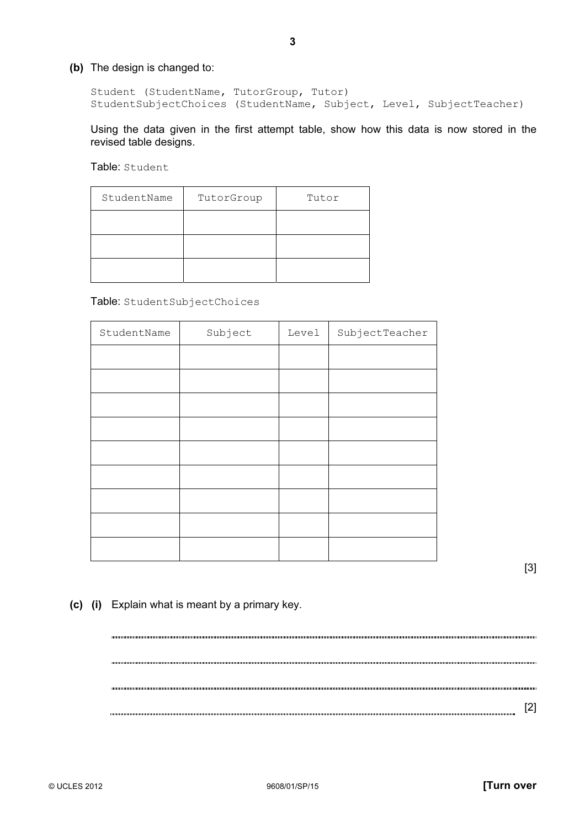(b) The design is changed to:

 Student (StudentName, TutorGroup, Tutor) StudentSubjectChoices (StudentName, Subject, Level, SubjectTeacher)

Using the data given in the first attempt table, show how this data is now stored in the revised table designs.

Table: Student

| StudentName | TutorGroup | Tutor |
|-------------|------------|-------|
|             |            |       |
|             |            |       |
|             |            |       |

Table: StudentSubjectChoices

| StudentName | Subject | Level | SubjectTeacher |
|-------------|---------|-------|----------------|
|             |         |       |                |
|             |         |       |                |
|             |         |       |                |
|             |         |       |                |
|             |         |       |                |
|             |         |       |                |
|             |         |       |                |
|             |         |       |                |
|             |         |       |                |

[3]

(c) (i) Explain what is meant by a primary key.

[2]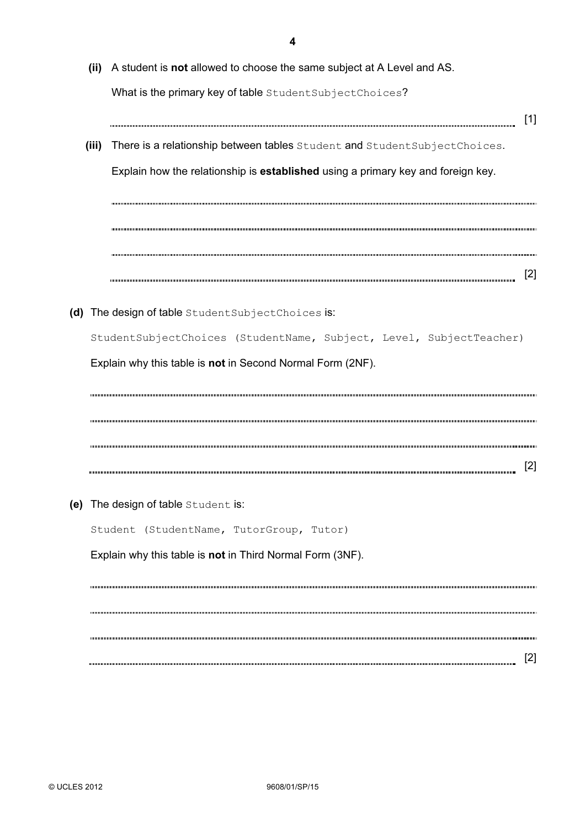|       | (ii) A student is not allowed to choose the same subject at A Level and AS.      |                   |
|-------|----------------------------------------------------------------------------------|-------------------|
|       | What is the primary key of table StudentSubjectChoices?                          |                   |
| (iii) | There is a relationship between tables Student and Student Subject Choices.      | $[1]$             |
|       | Explain how the relationship is established using a primary key and foreign key. |                   |
|       |                                                                                  |                   |
|       |                                                                                  |                   |
|       |                                                                                  | $\lceil 2 \rceil$ |
|       |                                                                                  |                   |
|       | (d) The design of table StudentSubjectChoices is:                                |                   |
|       |                                                                                  |                   |
|       | StudentSubjectChoices (StudentName, Subject, Level, SubjectTeacher)              |                   |
|       |                                                                                  |                   |
|       | Explain why this table is not in Second Normal Form (2NF).                       |                   |
|       |                                                                                  |                   |
|       |                                                                                  |                   |
|       |                                                                                  |                   |
|       |                                                                                  |                   |
|       |                                                                                  |                   |
|       | (e) The design of table Student is:                                              |                   |
|       | Student (StudentName, TutorGroup, Tutor)                                         |                   |
|       | Explain why this table is not in Third Normal Form (3NF).                        |                   |
|       |                                                                                  |                   |
|       |                                                                                  |                   |
|       |                                                                                  |                   |
|       |                                                                                  | $[2]$             |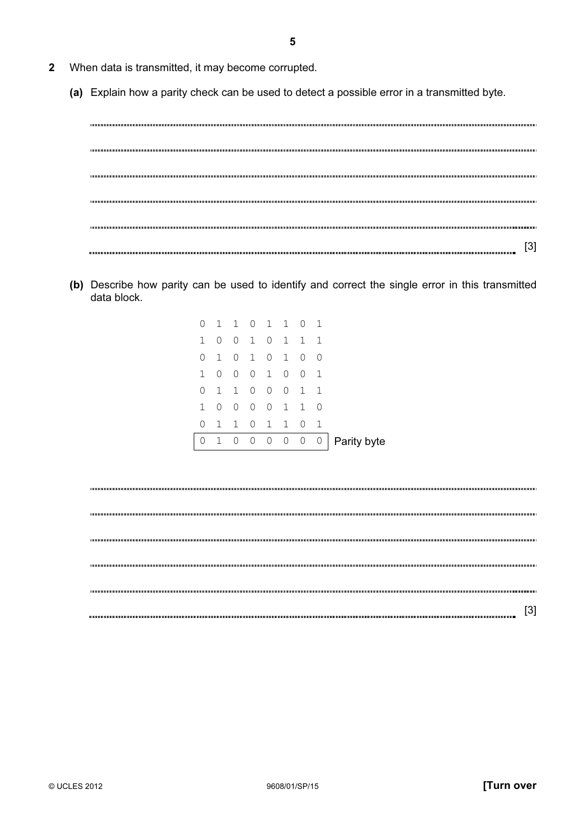- 2 When data is transmitted, it may become corrupted.
	- (a) Explain how a parity check can be used to detect a possible error in a transmitted byte.

[3]

 (b) Describe how parity can be used to identify and correct the single error in this transmitted data block.

| 0                | $\mathbf{1}$ | 1                   |              |                | $0 \t1 \t1$    | $\Omega$       | -1             |             |
|------------------|--------------|---------------------|--------------|----------------|----------------|----------------|----------------|-------------|
| $\mathbf{1}$     | $\Omega$     | $\Omega$            | 1            | $\Omega$       | $\overline{1}$ | $\mathbf{1}$   | 1              |             |
| 0                | 1            | 0                   | 1            | 0 <sub>1</sub> |                | $\Omega$       | $\Omega$       |             |
| 1                | $\Omega$     | $\bigcirc$          | $\Omega$     | 1              | $\Omega$       | $\Omega$       | -1             |             |
| 0                | 1            | 1                   | $\Omega$     | $\Omega$       | $\Omega$       | $\overline{1}$ | 1              |             |
| $\mathbf{1}$     | $\Omega$     | $\Omega$            | $\Omega$     | $\Omega$       | $\overline{1}$ | $\mathbf{1}$   | $\Omega$       |             |
| 0                | $\mathbf{1}$ | 1                   | $\Omega$     | 1 1            |                | $\Omega$       | - 1            |             |
| $\left( \right)$ | 1            | $\mathsf{O}\xspace$ | $\mathsf{O}$ | $0\quad 0$     |                | $\overline{0}$ | $\overline{0}$ | Parity byte |
|                  |              |                     |              |                |                |                |                |             |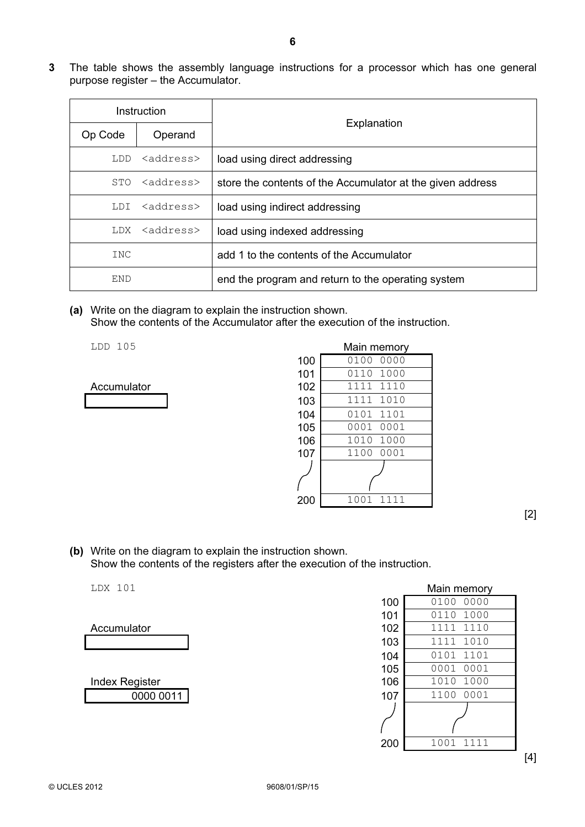3 The table shows the assembly language instructions for a processor which has one general purpose register – the Accumulator.

| Instruction |                     |                                                            |  |  |
|-------------|---------------------|------------------------------------------------------------|--|--|
| Op Code     | Operand             | Explanation                                                |  |  |
| LDD         | <address></address> | load using direct addressing                               |  |  |
| STO         | <address></address> | store the contents of the Accumulator at the given address |  |  |
| T.D.T       | <address></address> | load using indirect addressing                             |  |  |
| LDX         | <address></address> | load using indexed addressing                              |  |  |
| INC         |                     | add 1 to the contents of the Accumulator                   |  |  |
| END         |                     | end the program and return to the operating system         |  |  |

 (a) Write on the diagram to explain the instruction shown. Show the contents of the Accumulator after the execution of the instruction.



| LDD 105     |     | Main memory  |
|-------------|-----|--------------|
|             | 100 | 0100<br>0000 |
|             | 101 | 1000<br>0110 |
| Accumulator | 102 | 1110<br>1111 |
|             | 103 | 1010<br>1111 |
|             | 104 | 1101<br>0101 |
|             | 105 | 0001<br>0001 |
|             | 106 | 1000<br>1010 |
|             | 107 | 1100<br>0001 |
|             |     |              |
|             |     |              |
|             | 200 | 1001<br>1111 |

[2]

 (b) Write on the diagram to explain the instruction shown. Show the contents of the registers after the execution of the instruction.

| LDX 101               |     | Main memory  |
|-----------------------|-----|--------------|
|                       | 100 | 0100<br>0000 |
|                       | 101 | 1000<br>0110 |
| Accumulator           | 102 | 1110<br>1111 |
|                       | 103 | 1010<br>1111 |
|                       | 104 | 1101<br>0101 |
|                       | 105 | 0001<br>0001 |
| <b>Index Register</b> | 106 | 1010<br>1000 |
| 0000 0011             | 107 | 0001<br>1100 |
|                       |     |              |
|                       | 200 | 1001<br>1111 |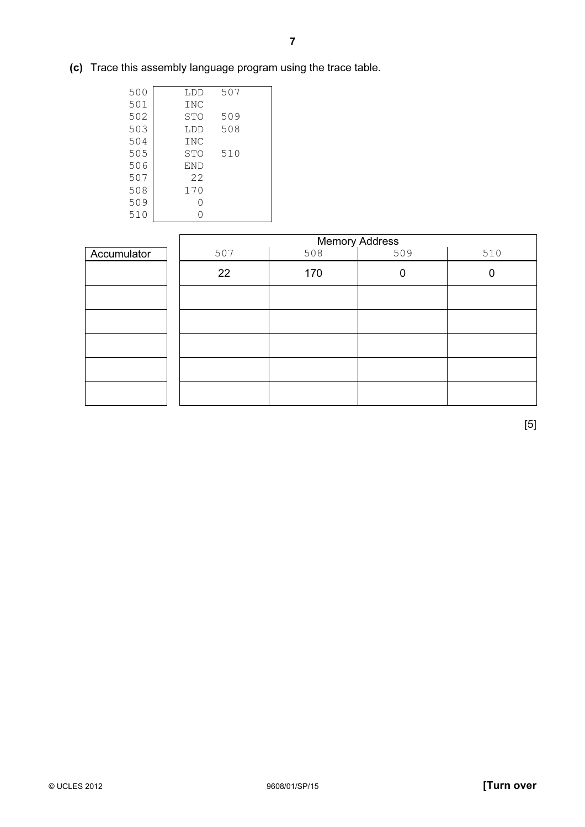(c) Trace this assembly language program using the trace table.

| 500 | LDD        | 507 |  |
|-----|------------|-----|--|
| 501 | <b>INC</b> |     |  |
| 502 | STO        | 509 |  |
| 503 | LDD        | 508 |  |
| 504 | INC        |     |  |
| 505 | STO        | 510 |  |
| 506 | <b>END</b> |     |  |
| 507 | 22         |     |  |
| 508 | 170        |     |  |
| 509 |            |     |  |
| 510 |            |     |  |
|     |            |     |  |

|             |     | <b>Memory Address</b> |     |     |  |  |  |
|-------------|-----|-----------------------|-----|-----|--|--|--|
| Accumulator | 507 | 508                   | 509 | 510 |  |  |  |
|             | 22  | 170                   | 0   |     |  |  |  |
|             |     |                       |     |     |  |  |  |
|             |     |                       |     |     |  |  |  |
|             |     |                       |     |     |  |  |  |
|             |     |                       |     |     |  |  |  |
|             |     |                       |     |     |  |  |  |

[5]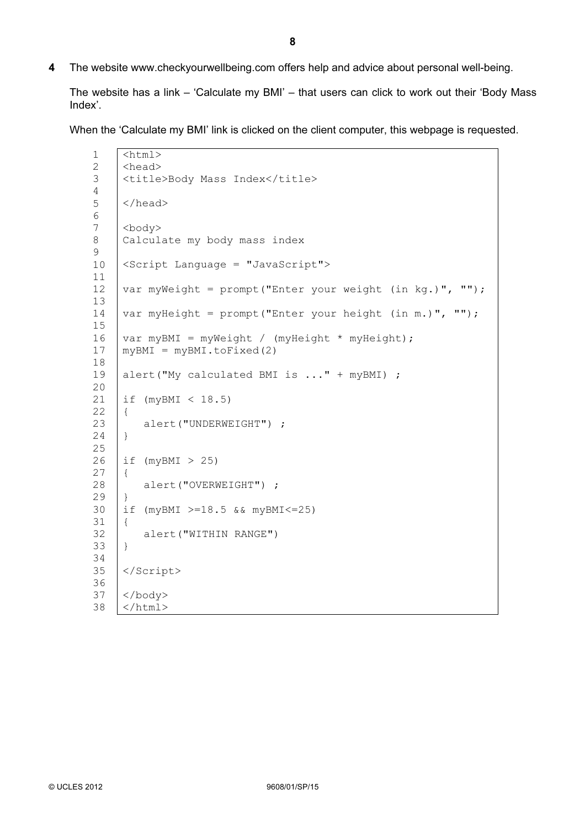4 The website www.checkyourwellbeing.com offers help and advice about personal well-being.

 The website has a link – 'Calculate my BMI' – that users can click to work out their 'Body Mass Index'.

When the 'Calculate my BMI' link is clicked on the client computer, this webpage is requested.

```
1 
2 
3 
4 
5 
6 
7 
8 
9 
10 
11 
12 
13 
14 
15 
16 
17 
18 
19 
2021 
22 
23 
24 
25 
26 
27 
28 
29 
30 
31 
32 
33 
34 
35 
36 
37 
38 
     \overline{\text{html}}<head> 
     <title>Body Mass Index</title> 
     </head> 
     <body> 
     Calculate my body mass index 
     <Script Language = "JavaScript"> 
     var myWeight = prompt("Enter your weight (in kg.)", ""); 
     var myHeight = prompt ("Enter your height (in m.)", "");
     var myBMI = myWeight / (myHeight * myHeight);
     myBMI = myBMI.tofixed(2)alert("My calculated BMI is ..." + myBMI) ; 
     if (myBMI < 18.5)
     { 
          alert("UNDERWEIGHT") ; 
     } 
     if (myBMI > 25)
     { 
          alert("OVERWEIGHT") ; 
     } 
     if (myBMI >=18.5 && myBMI<=25) 
     { 
          alert("WITHIN RANGE") 
     } 
     </Script> 
     </body> 
     </html>
```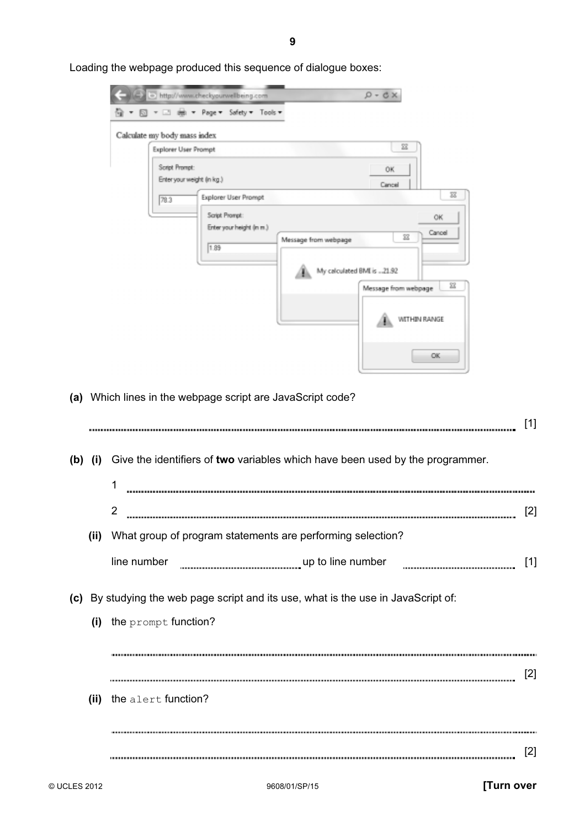| Calculate my body mass index<br>Explorer User Prompt |                                                                             |                      | $\Sigma$                                                                                                |
|------------------------------------------------------|-----------------------------------------------------------------------------|----------------------|---------------------------------------------------------------------------------------------------------|
| Script Prompt:                                       | Enter your weight (in kg.)                                                  |                      | 0K<br>Cancel                                                                                            |
| 78.3                                                 | Explorer User Prompt<br>Script Prompt:<br>Enter your height (in m.)<br>1.89 | Message from webpage | $\overline{\text{33}}$<br>OK.<br>Cancel<br>筵<br>My calculated BMI is 21.92<br>窒<br>Message from webpage |
|                                                      |                                                                             |                      | WITHIN RANGE                                                                                            |
|                                                      |                                                                             |                      | OK                                                                                                      |

Loading the webpage produced this sequence of dialogue boxes:

|      |                                                                                       | [1]   |
|------|---------------------------------------------------------------------------------------|-------|
|      | (b) (i) Give the identifiers of two variables which have been used by the programmer. |       |
|      | 1                                                                                     |       |
|      | $\overline{2}$                                                                        | $[2]$ |
| (ii) | What group of program statements are performing selection?                            |       |
|      | line number                                                                           | $[1]$ |
|      | (c) By studying the web page script and its use, what is the use in JavaScript of:    |       |
|      | $(i)$ the prompt function?                                                            |       |
|      |                                                                                       | [2]   |
|      | (ii) the alert function?                                                              |       |
|      |                                                                                       |       |
|      |                                                                                       | $[2]$ |
|      |                                                                                       |       |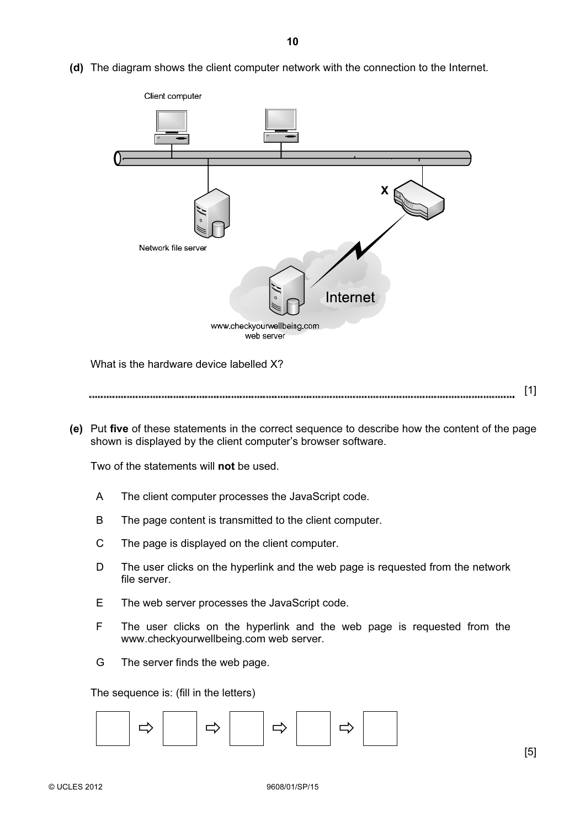(d) The diagram shows the client computer network with the connection to the Internet.



What is the hardware device labelled X?

[1] 

 (e) Put five of these statements in the correct sequence to describe how the content of the page shown is displayed by the client computer's browser software.

Two of the statements will **not** be used.

- A The client computer processes the JavaScript code.
- B The page content is transmitted to the client computer.
- C The page is displayed on the client computer.
- D The user clicks on the hyperlink and the web page is requested from the network file server.
- E The web server processes the JavaScript code.
- F The user clicks on the hyperlink and the web page is requested from the www.checkyourwellbeing.com web server.
- G The server finds the web page.

The sequence is: (fill in the letters)

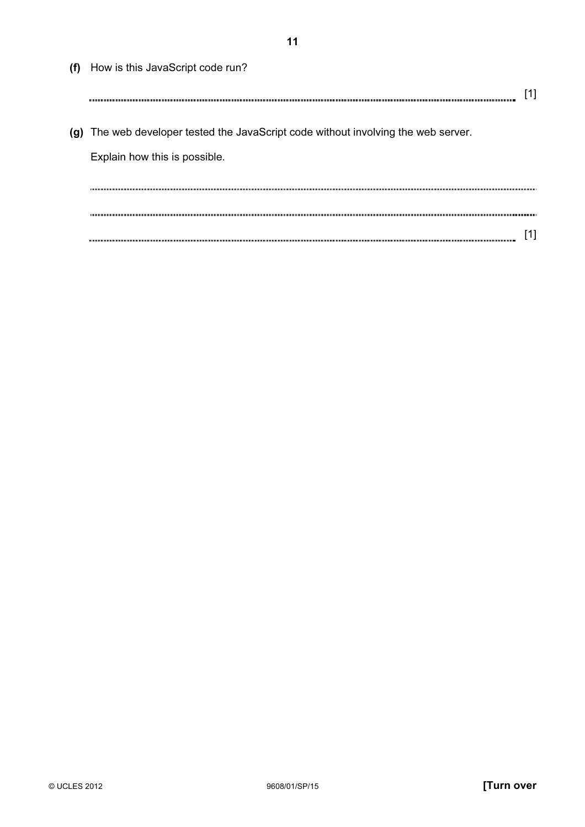(f) How is this JavaScript code run? [1] (g) The web developer tested the JavaScript code without involving the web server. Explain how this is possible. [1]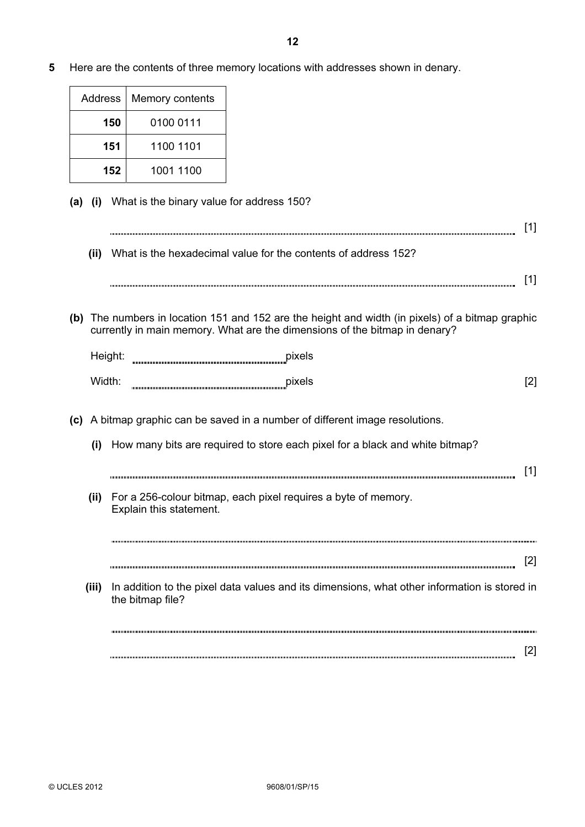5 Here are the contents of three memory locations with addresses shown in denary.

| Address | Memory contents |  |
|---------|-----------------|--|
| 150     | 0100 0111       |  |
| 151     | 1100 1101       |  |
| 152     | 1001 1100       |  |

(a) (i) What is the binary value for address 150?

| (ii) | What is the hexadecimal value for the contents of address 152? |  |
|------|----------------------------------------------------------------|--|
|      |                                                                |  |

 (b) The numbers in location 151 and 152 are the height and width (in pixels) of a bitmap graphic currently in main memory. What are the dimensions of the bitmap in denary?

| Height: | pixels |  |
|---------|--------|--|
| Width:  | pixels |  |

- (c) A bitmap graphic can be saved in a number of different image resolutions.
	- (i) How many bits are required to store each pixel for a black and white bitmap? [1] (ii) For a 256-colour bitmap, each pixel requires a byte of memory. Explain this statement. [2] (iii) In addition to the pixel data values and its dimensions, what other information is stored in the bitmap file?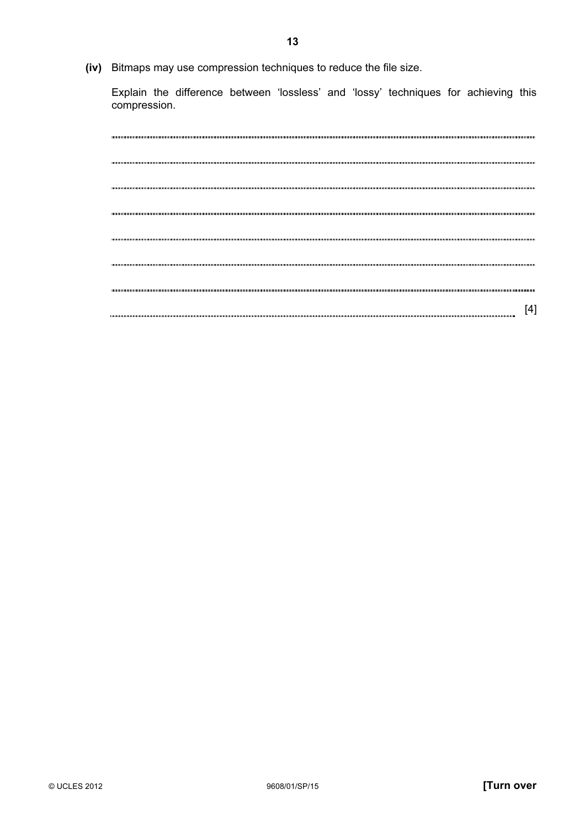(iv) Bitmaps may use compression techniques to reduce the file size.

 Explain the difference between 'lossless' and 'lossy' techniques for achieving this compression.

|  | Ι4 |
|--|----|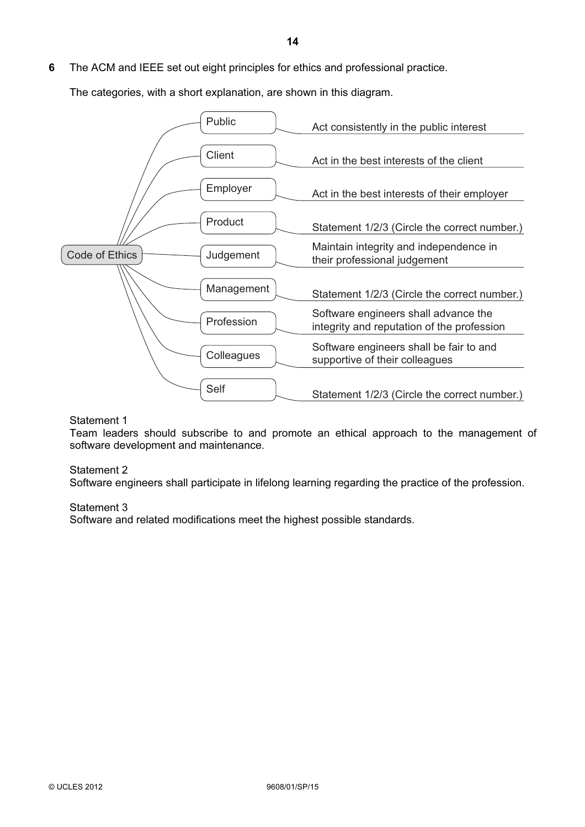The categories, with a short explanation, are shown in this diagram.



## Statement 1

 Team leaders should subscribe to and promote an ethical approach to the management of software development and maintenance.

## Statement 2

Software engineers shall participate in lifelong learning regarding the practice of the profession.

## Statement 3

Software and related modifications meet the highest possible standards.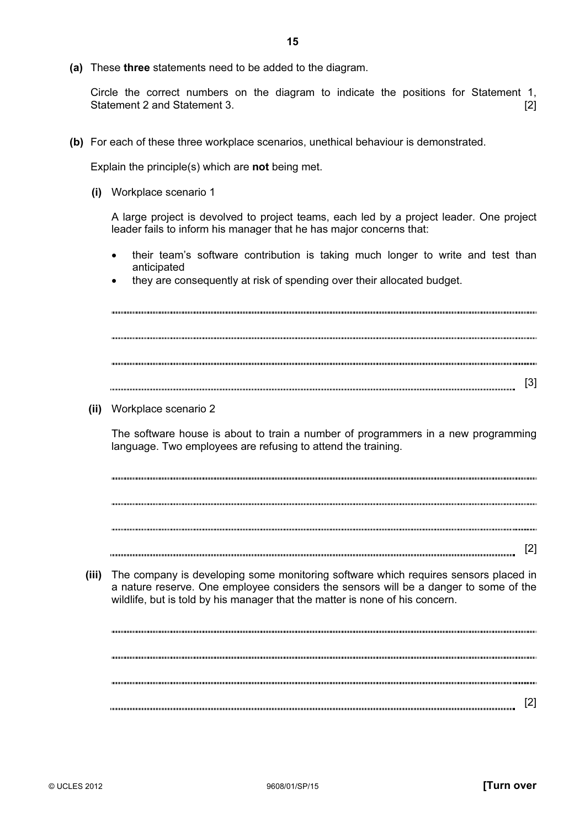Circle the correct numbers on the diagram to indicate the positions for Statement 1, Statement 2 and Statement 3. **Example 2** and Statement 3.

(b) For each of these three workplace scenarios, unethical behaviour is demonstrated.

Explain the principle(s) which are not being met.

(i) Workplace scenario 1

 A large project is devolved to project teams, each led by a project leader. One project leader fails to inform his manager that he has major concerns that:

- their team's software contribution is taking much longer to write and test than anticipated
- they are consequently at risk of spending over their allocated budget.

[3]

(ii) Workplace scenario 2

 The software house is about to train a number of programmers in a new programming language. Two employees are refusing to attend the training.

[2]

 (iii) The company is developing some monitoring software which requires sensors placed in a nature reserve. One employee considers the sensors will be a danger to some of the wildlife, but is told by his manager that the matter is none of his concern.

[2]